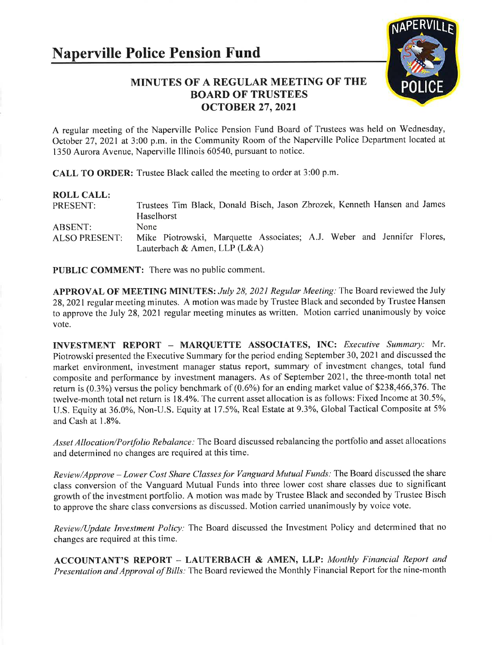

## MINUTES OF A REGULAR MEETING OF THE BOARD OF TRUSTEES ocroBER 27,2021

A regular meeting of the Naperville Police Pension Fund Board of Trustees was held on Wednesday, October 27, 2021 at 3:00 p.m. in the Community Room of the Naperville Police Department located at 1350 Aurora Avenue, Naperville Illinois 60540, pursuant to notice.

CALL TO ORDER: Trustee Black called the meeting to order at 3:00 p.m.

| <b>ROLL CALL:</b>               | Trustees Tim Black, Donald Bisch, Jason Zbrozek, Kenneth Hansen and James                                        |
|---------------------------------|------------------------------------------------------------------------------------------------------------------|
| PRESENT:                        | Haselhorst                                                                                                       |
| ABSENT:<br><b>ALSO PRESENT:</b> | None<br>Mike Piotrowski, Marquette Associates; A.J. Weber and Jennifer Flores,<br>Lauterbach & Amen, LLP $(L&A)$ |

PUBLIC COMMENT: There was no public comment.

APPROVAL OF MEETING MINUTES: July 28, 2021 Regular Meeting: The Board reviewed the July 28, 2021 regular meeting minutes. A motion was made by Trustee Black and seconded by Trustee Hansen to approve the July 28,2021 regular meeting minutes as written. Motion carried unanimously by voice vote.

INVESTMENT REPORT - MARQUETTE ASSOCIATES, INC: Executive Summary: Mr. Piotrowski presented the Executive Summary for the period ending September 30,2021and discussed the market environment, investment manager status report, summary of investment changes, total fund composite and performance by investment managers. As of September 2021, the three-month total net return is (0.3%) versus the policy benchmark of (0.6%) for an ending market value of \$238,466,376.The twelve-month total net return is 18.4%. The current asset allocation is as follows: Fixed Income at 30.5%, U.S. Equity at 36.0%, Non-U.S. Equity at 17.5%, Real Estate at 9.3%, Global Tactical Composite at 5% and Cash at 1.8%.

Asset Allocation/Portfolio Rebalance: The Board discussed rebalancing the portfolio and asset allocations and determined no changes are required at this time.

Review/Approve - Lower Cost Share Classes for Vanguard Mutual Funds: The Board discussed the share class conversion of the Vanguard Mutual Funds into three lower cost share classes due to significant growth of the investment portfolio. A motion was made by Trustee Black and seconded by Trustee Bisch to approve the share class conversions as discussed. Motion carried unanimously by voice vote.

Review/Update Investment Policy: The Board discussed the Investment Policy and determined that no changes are required at this time.

ACCOUNTANT'S REPORT - LAUTERBACH & AMEN, LLP: Monthly Financial Report and Presentation and Approval of Bills: The Board reviewed the Monthly Financial Report for the nine-month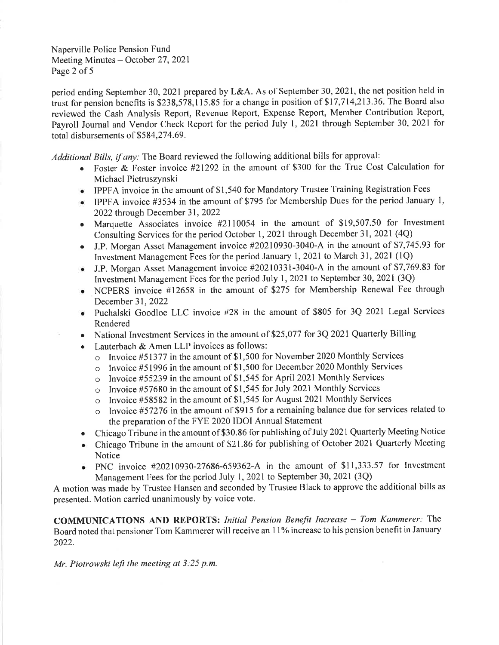Naperville Police Pension Fund Meeting Minutes – October 27, 2021 Page 2 of 5

period ending September 30,2021 prepared by L&A. As of September 30,2021, the net position held in trust for pension benefits is 5238,578,115.85 for a change in position of \$17,714,213.36. The Board also reviewed the Cash Analysis Report, Revenue Report, Expense Report, Member Contribution Report, Payroll Journal and Vendor Check Report for the period July l, 2021 through September 30,2021 fot total disbursements of \$584,274.69.

Additional Bills, if any: The Board reviewed the following additional bills for approval:

- e Foster & Foster invoice #21292 in the amount of \$300 for the True Cost Calculation for Michael Pietruszynski
- o IPPFA invoice in the amount of \$1,540 for Mandatory Trustee Training Registration Fees
- IPPFA invoice #3534 in the amount of \$795 for Membership Dues for the period January 1, 2022 through December 31, 2022
- Marquette Associates invoice  $#2110054$  in the amount of \$19,507.50 for Investment Consulting Services for the period October 1,2021 through December 31, 2021 (4Q)
- J.P. Morgan Asset Management invoice #20210930-3040-A in the amount of \$7,745.93 for Investment Management Fees for the period January 1, 2021 to March 31, 2021 (10)
- J.P. Morgan Asset Management invoice #20210331-3040-A in the amount of \$7,769.83 for Investment Management Fees for the period July 1, 2021 to September 30, 2021 (3Q)
- NCPERS invoice #12658 in the amount of \$275 for Membership Renewal Fee through December 31,2022
- . Puchalski Goodloe LLC invoice #28 in the amount of 5805 for 3Q 2021 Legal Services Rendered
- . National Investment Services in the amount of \$25,077 for 3Q 2021 Quarterly Billing
- Lauterbach  $&$  Amen LLP invoices as follows:
	- o Invoice #51377 in the amount of \$1,500 for November 2020 Monthly Services
	- o Invoice #51996 in the amount of \$1,500 for December 2020 Monthly Services
	- o Invoice #55239 in the amount of \$1,545 for April 2021 Monthly Services
	- $\circ$  Invoice #57680 in the amount of \$1,545 for July 2021 Monthly Services
	- o Invoice #58582 in the amount of \$1,545 for August 2021 Monthly Services
	- Invoice #57276 in the amount of \$915 for a remaining balance due for services related to the preparation of the FYE 2020 IDOI Annual Statement
- r Chicago Tribune in the amount of \$30.86 for publishing of July 2021 Quarterly Meeting Notice
- Chicago Tribune in the amount of \$21.86 for publishing of October 2021 Quarterly Meeting Notice
- PNC invoice  $#20210930-27686-659362-A$  in the amount of \$11,333.57 for Investment Management Fees for the period July l, 2021 to September 30, 2021 (3Q)

A motion was made by Trustee Hansen and seconded by Trustee Black to approve the additional bills as presented. Motion carried unanimously by voice vote.

COMMUNICATIONS AND REPORTS: Initial Pension Benefit Increase - Tom Kammerer: The Board noted that pensioner Tom Kammerer will receive an 11% increase to his pension benefit in January 2022.

Mr. Piotrowski left the meeting at  $3:25$  p.m.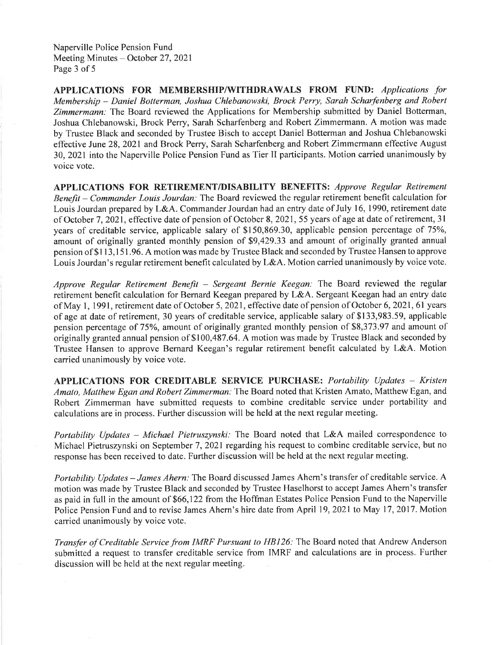Naperville Police Pension Fund Meeting Minutes - October 27, 2021 Page 3 of 5

APPLICATIONS FOR MEMBERSHIP/WITHDRAWALS FROM FUND: Applications for Membership - Daniel Botterman, Joshua Chlebanowski, Brock Perry, Sarah Scharfenberg and Robert Zimmermann: The Board reviewed the Applications for Membership submitted by Daniel Botterman, Joshua Chlebanowski, Brock Perry, Sarah Scharfenberg and Robert Zimmermann. A motion was made by Trustee Black and seconded by Trustee Bisch to accept Daniel Botterman and Joshua Chlebanowski effective June 28, 2021 and Brock Perry, Sarah Scharfenberg and Robert Zimmermann effective August 30,2021 into the Naperville Police Pension Fund as Tier II participants. Motion carried unanimously by voice vote.

APPLICATIONS FOR RETIREMENT/DISABILITY BENEFITS: Approve Regular Retirement Benefit - Commander Louis Jourdan: The Board reviewed the regular retirement benefit calculation for Louis Jourdan prepared by L&A. Commander Jourdan had an entry date of July 16, 1990, retirement date of October 7,2021, effective date of pension of October 8,2021,55 years of age at date of retirement, 3l years of creditable service, applicable salary of \$150,869.30, applicable pension percentage of 75%, amount of originally granted monthly pension of \$9,429.33 and amount of originally granted annual pension of \$113,151.96. A motion was made by Trustee Black and seconded by Trustee Hansen to approve Louis Jourdan's regular retirement benefit calculated by L&A. Motion carried unanimously by voice vote.

Approve Regular Retirement Benefit - Sergeant Bernie Keegan: The Board reviewed the regular retirement benefit calculation for Bernard Keegan prepared by L&A. Sergeant Keegan had an entry date of May 1, 1991, retirement date of October 5, 2021, effective date of pension of October 6, 2021, 61 years of age at date of retirement, 30 years of creditable service, applicable salary of \$133,983.59, applicable pension percentage of 75%, amount of originally granted monthly pension of \$8,373.97 and amount of originally granted annual pension of \$100,487.64. A motion was made by Trustee Black and seconded by Trustee Hansen to approve Bernard Keegan's regular retirement benefit calculated by L&A. Motion carried unanimously by voice vote.

APPLICATIONS FOR CREDITABLE SERVICE PURCHASE: Portability Updates - Kristen Amato, Matthew Egan and Robert Zimmerman: The Board noted that Kristen Amato, Matthew Egan, and Robert Zimmerman have submitted requests to combine creditable service under portability and calculations are in process. Further discussion will be held at the next regular meeting.

Portability Updates - Michael Pietruszynski: The Board noted that L&A mailed correspondence to Michael Pietruszynski on September 7, 2021 regarding his request to combine creditable service, but no response has been received to date. Further discussion will be held at the next regular meeting.

Portability Updates - James Ahern: The Board discussed James Ahern's transfer of creditable service. A motion was made by Trustee Black and seconded by Trustee Haselhorst to accept James Ahem's transfer as paid in full in the amount of \$66,122 from the Hoffinan Estates Police Pension Fund to the Naperville Police Pension Fund and to revise James Ahern's hire date from April 19,2021 to May 17,2017. Motion carried unanimously by voice vote.

Transfer of Creditable Service from IMRF Pursuant to HBl26: The Board noted that Andrew Anderson submitted a request to transfer creditable service from IMRF and calculations are in process. Further discussion will be held at the next regular meeting.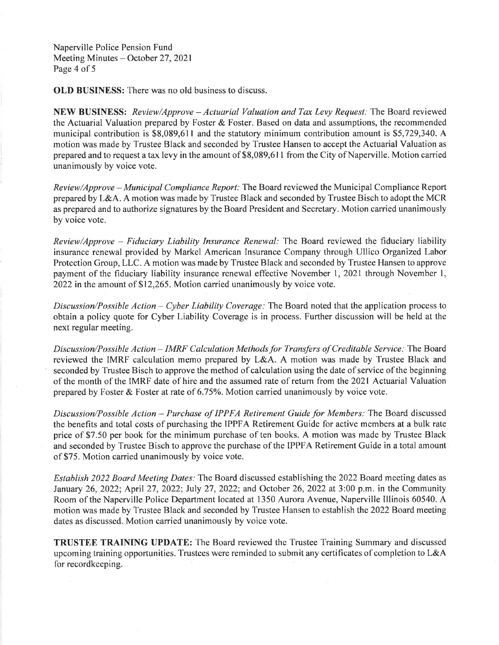Naperuille Police Pension Fund Meeting Minutes - October 27, 2021 Page 4 of 5

OLD BUSINESS: There was no old business to discuss.

NEW BUSINESS: Review/Approve - Actuarial Valuation and Tax Levy Request: The Board reviewed the Actuarial Valuation prepared by Foster & Foster. Based on data and assumptions, the recommended municipal contribution is \$8,089,611 and the statutory minimum contribution amount is \$5,729,340. A motion was made by Trustee Black and seconded by Trustee Hansen to accept the Actuarial Valuation as prepared and to request a tax levy in the amount of \$8,089,611 from the City of Naperville. Motion carried unanimously by voice vote.

Review/Approve – Municipal Compliance Report: The Board reviewed the Municipal Compliance Report prepared by L&A. A motion was made by Trustee Black and seconded by Trustee Bisch to adopt the MCR as prepared and to authorize signatures by the Board President and Secretary. Motion carried unanimously by voice vote.

Review/Approve - Fiduciary Liability Insurance Renewal: The Board reviewed the fiduciary liability insurance renewal provided by Markel American Insurance Company through Ullico Organized Labor Protection Group, LLC. A motion was made by Trustee Black and seconded by Trustee Hansen to approve payment of the fiduciary liability insurance renewal effective November 1, 2021 through November 1, 2022 in the amount of \$12,265. Motion carried unanimously by voice vote.

Discussion/Possible Action - Cyber Liability Coverage: The Board noted that the application process to obtain a policy quote for Cyber Liability Coverage is in process. Further discussion will be held at the next regular meeting.

Discussion/Possible Action - IMRF Calculation Methods for Transfers of Creditable Service: The Board reviewed the IMRF calculation memo prepared by L&A. A motion was made by Trustee Black and seconded by Trustee Bisch to approve the method of calculation using the date of service of the beginning of the month of the IMRF date of hire and the assumed rate of return from the 2021 Actuarial Valuation prepared by Foster & Foster at rate of 6.75%'. Motion carried unanimously by voice vote.

Discussion/Possible Action - Purchase of IPPFA Retirement Guide for Members: The Board discussed the benefits and total costs of purchasing the IPPFA Retirement Guide for active members at a bulk rate price of \$7.50 per book for the minimum purchase of ten books. A motion was made by Trustee Black and seconded by Trustee Bisch to approve the purchase of the IPPFA Retirement Guide in a total amount of \$75. Motion carried unanimously by voice vote.

Establish 2022 Board Meeting Dates: The Board discussed establishing the 2022 Board meeting dates as January 26, 2022; April 27, 2022; July 27, 2022; and October 26, 2022 at 3:00 p.m. in the Community Room of the Naperville Police Department located at 1350 Aurora Avenue, Naperville Illinois 60540. A motion was made by Trustee Black and seconded by Trustee Hansen to establish the 2022 Board meeting dates as discussed. Motion carried unanimously by voice vote.

TRUSTEE TRAINING UPDATE: The Board reviewed the Trustee Training Summary and discussed upcoming training opportunities. Trustees were reminded to submit any certificates of completion to L&A for recordkeeping.